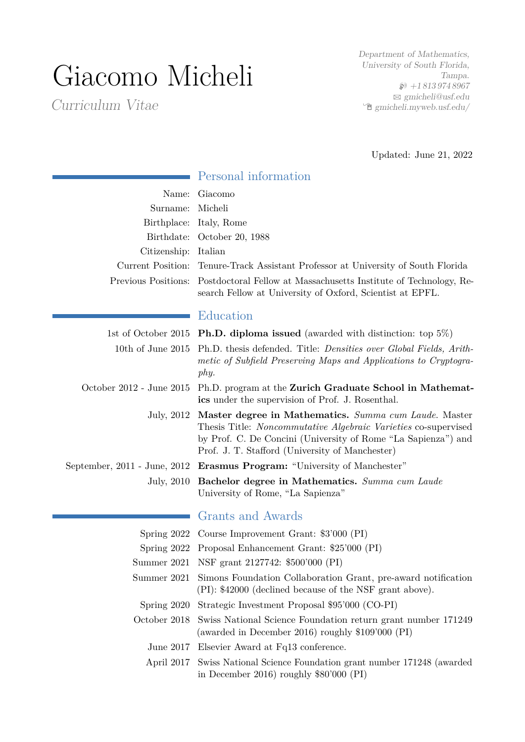# Giacomo Micheli

Curriculum Vitae

Department of Mathematics, University of South Florida, Tampa.  $\wp$  +18139748967  $\boxtimes$  [gmicheli@usf.edu](mailto:gmicheli@usf.edu)  $\hat{\mathbb{E}}$  [gmicheli.myweb.usf.edu/](http://gmicheli.myweb.usf.edu/)

Updated: June 21, 2022

| Surname:<br>Citizenship: Italian | Name: Giacomo<br>Micheli<br>Birthplace: Italy, Rome<br>Birthdate: October 20, 1988<br>Current Position: Tenure-Track Assistant Professor at University of South Florida<br>Previous Positions: Postdoctoral Fellow at Massachusetts Institute of Technology, Re-<br>search Fellow at University of Oxford, Scientist at EPFL. |  |
|----------------------------------|-------------------------------------------------------------------------------------------------------------------------------------------------------------------------------------------------------------------------------------------------------------------------------------------------------------------------------|--|
|                                  | Education                                                                                                                                                                                                                                                                                                                     |  |
|                                  | 1st of October 2015 <b>Ph.D. diploma issued</b> (awarded with distinction: top $5\%$ )                                                                                                                                                                                                                                        |  |
| 10th of June $2015$              | Ph.D. thesis defended. Title: <i>Densities over Global Fields</i> , <i>Arith</i> -<br>metic of Subfield Preserving Maps and Applications to Cryptogra-<br>phy.                                                                                                                                                                |  |
| October 2012 - June 2015         | Ph.D. program at the Zurich Graduate School in Mathemat-<br>ics under the supervision of Prof. J. Rosenthal.                                                                                                                                                                                                                  |  |
|                                  | July, 2012 Master degree in Mathematics. Summa cum Laude. Master<br>Thesis Title: <i>Noncommutative Algebraic Varieties</i> co-supervised<br>by Prof. C. De Concini (University of Rome "La Sapienza") and<br>Prof. J. T. Stafford (University of Manchester)                                                                 |  |
|                                  | September, 2011 - June, 2012 Erasmus Program: "University of Manchester"                                                                                                                                                                                                                                                      |  |
|                                  | July, 2010 Bachelor degree in Mathematics. Summa cum Laude<br>University of Rome, "La Sapienza"                                                                                                                                                                                                                               |  |
|                                  | Grants and Awards                                                                                                                                                                                                                                                                                                             |  |
|                                  | Spring 2022 Course Improvement Grant: \$3'000 (PI)                                                                                                                                                                                                                                                                            |  |
|                                  | Spring 2022 Proposal Enhancement Grant: \$25'000 (PI)                                                                                                                                                                                                                                                                         |  |
|                                  | Summer 2021 NSF grant 2127742: \$500'000 (PI)                                                                                                                                                                                                                                                                                 |  |
|                                  | Summer 2021 Simons Foundation Collaboration Grant, pre-award notification<br>(PI): \$42000 (declined because of the NSF grant above).                                                                                                                                                                                         |  |
| Spring 2020                      | Strategic Investment Proposal \$95'000 (CO-PI)                                                                                                                                                                                                                                                                                |  |
| October 2018                     | Swiss National Science Foundation return grant number 171249<br>(awarded in December 2016) roughly $$109'000$ (PI)                                                                                                                                                                                                            |  |
| June $2017$                      | Elsevier Award at Fq13 conference.                                                                                                                                                                                                                                                                                            |  |
| April 2017                       | Swiss National Science Foundation grant number 171248 (awarded<br>in December 2016) roughly $$80'000$ (PI)                                                                                                                                                                                                                    |  |

**Personal information**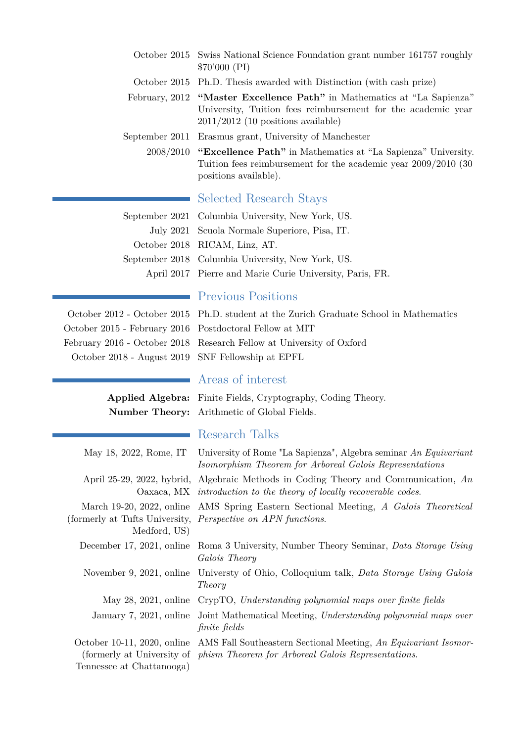| October 2015 Swiss National Science Foundation grant number 161757 roughly<br>\$70'000 (PI)                                                                                     |  |
|---------------------------------------------------------------------------------------------------------------------------------------------------------------------------------|--|
| October 2015 Ph.D. Thesis awarded with Distinction (with cash prize)                                                                                                            |  |
| February, 2012 "Master Excellence Path" in Mathematics at "La Sapienza"<br>University, Tuition fees reimbursement for the academic year<br>$2011/2012$ (10 positions available) |  |
| September 2011 Erasmus grant, University of Manchester                                                                                                                          |  |
| 2008/2010 "Excellence Path" in Mathematics at "La Sapienza" University.<br>Tuition fees reimbursement for the academic year $2009/2010$ (30<br>positions available).            |  |
| Selected Research Stays                                                                                                                                                         |  |
| September 2021 Columbia University, New York, US.                                                                                                                               |  |
| July 2021 Scuola Normale Superiore, Pisa, IT.                                                                                                                                   |  |
| October 2018 RICAM, Linz, AT.                                                                                                                                                   |  |
| September 2018 Columbia University, New York, US.                                                                                                                               |  |
| April 2017 Pierre and Marie Curie University, Paris, FR.                                                                                                                        |  |

October 2015 - February 2016 Postdoctoral Fellow at MIT

### Previous Positions

October 2012 - October 2015 Ph.D. student at the Zurich Graduate School in Mathematics February 2016 - October 2018 Research Fellow at University of Oxford October 2018 - August 2019 SNF Fellowship at EPFL

÷.

## Areas of interest

**Applied Algebra:** Finite Fields, Cryptography, Coding Theory. **Number Theory:** Arithmetic of Global Fields.

### Research Talks

|                                                          | May 18, 2022, Rome, IT University of Rome "La Sapienza", Algebra seminar An Equivariant<br>Isomorphism Theorem for Arboreal Galois Representations           |
|----------------------------------------------------------|--------------------------------------------------------------------------------------------------------------------------------------------------------------|
|                                                          | April 25-29, 2022, hybrid, Algebraic Methods in Coding Theory and Communication, $An$<br>Oaxaca, MX introduction to the theory of locally recoverable codes. |
| Medford, US)                                             | March 19-20, 2022, online AMS Spring Eastern Sectional Meeting, A Galois Theoretical<br>(formerly at Tufts University, <i>Perspective on APN functions</i> . |
|                                                          | December 17, 2021, online Roma 3 University, Number Theory Seminar, Data Storage Using<br>Galois Theory                                                      |
| November 9, 2021, online                                 | Universty of Ohio, Colloquium talk, Data Storage Using Galois<br>Theory                                                                                      |
| May 28, 2021, online                                     | CrypTO, Understanding polynomial maps over finite fields                                                                                                     |
| January 7, 2021, online                                  | Joint Mathematical Meeting, Understanding polynomial maps over<br>finite fields                                                                              |
| October 10-11, 2020, online<br>Tennessee at Chattanooga) | AMS Fall Southeastern Sectional Meeting, An Equivariant Isomor-<br>(formerly at University of phism Theorem for Arboreal Galois Representations.)            |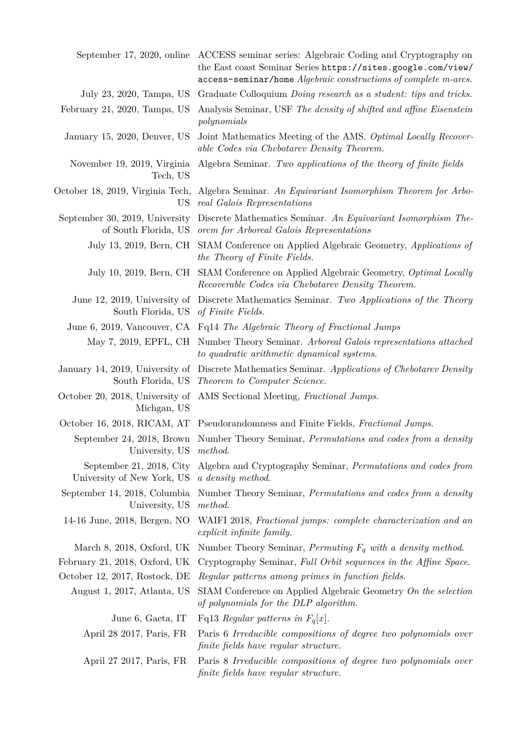|                                                        | September 17, 2020, online ACCESS seminar series: Algebraic Coding and Cryptography on<br>the East coast Seminar Series https://sites.google.com/view/<br>access-seminar/home Algebraic constructions of complete m-arcs. |  |
|--------------------------------------------------------|---------------------------------------------------------------------------------------------------------------------------------------------------------------------------------------------------------------------------|--|
| July 23, 2020, Tampa, US                               | Graduate Colloquium Doing research as a student: tips and tricks.                                                                                                                                                         |  |
| February 21, 2020, Tampa, US                           | Analysis Seminar, USF The density of shifted and affine Eisenstein<br>polynomials                                                                                                                                         |  |
| January 15, 2020, Denver, US                           | Joint Mathematics Meeting of the AMS. Optimal Locally Recover-<br>able Codes via Chebotarev Density Theorem.                                                                                                              |  |
| November 19, 2019, Virginia<br>Tech, US                | Algebra Seminar. Two applications of the theory of finite fields                                                                                                                                                          |  |
| US                                                     | October 18, 2019, Virginia Tech, Algebra Seminar. An Equivariant Isomorphism Theorem for Arbo-<br>real Galois Representations                                                                                             |  |
| September 30, 2019, University                         | Discrete Mathematics Seminar. An Equivariant Isomorphism The-<br>of South Florida, US orem for Arboreal Galois Representations                                                                                            |  |
| July 13, 2019, Bern, CH                                | SIAM Conference on Applied Algebraic Geometry, Applications of<br>the Theory of Finite Fields.                                                                                                                            |  |
|                                                        | July 10, 2019, Bern, CH SIAM Conference on Applied Algebraic Geometry, Optimal Locally<br>Recoverable Codes via Chebotarev Density Theorem.                                                                               |  |
| South Florida, US                                      | June 12, 2019, University of Discrete Mathematics Seminar. Two Applications of the Theory<br>of Finite Fields.                                                                                                            |  |
|                                                        | June 6, 2019, Vancouver, CA Fq14 The Algebraic Theory of Fractional Jumps                                                                                                                                                 |  |
|                                                        | May 7, 2019, EPFL, CH Number Theory Seminar. Arboreal Galois representations attached<br>to quadratic arithmetic dynamical systems.                                                                                       |  |
|                                                        | January 14, 2019, University of Discrete Mathematics Seminar. Applications of Chebotarev Density<br>South Florida, US Theorem to Computer Science.                                                                        |  |
| Michgan, US                                            | October 20, 2018, University of AMS Sectional Meeting, Fractional Jumps.                                                                                                                                                  |  |
|                                                        | October 16, 2018, RICAM, AT Pseudorandomness and Finite Fields, Fractional Jumps.                                                                                                                                         |  |
| University, US method.                                 | September 24, 2018, Brown Number Theory Seminar, Permutations and codes from a density                                                                                                                                    |  |
| September 21, 2018, City<br>University of New York, US | Algebra and Cryptography Seminar, Permutations and codes from<br>a density method.                                                                                                                                        |  |
| September 14, 2018, Columbia<br>University, US         | Number Theory Seminar, <i>Permutations and codes from a density</i><br>method.                                                                                                                                            |  |
| 14-16 June, 2018, Bergen, NO                           | WAIFI 2018, Fractional jumps: complete characterization and an<br>explicit infinite family.                                                                                                                               |  |
| March 8, 2018, Oxford, UK                              | Number Theory Seminar, Permuting $F_q$ with a density method.                                                                                                                                                             |  |
| February 21, 2018, Oxford, UK                          | Cryptography Seminar, Full Orbit sequences in the Affine Space.                                                                                                                                                           |  |
| October 12, 2017, Rostock, DE                          | Regular patterns among primes in function fields.                                                                                                                                                                         |  |
| August 1, 2017, Atlanta, US                            | SIAM Conference on Applied Algebraic Geometry On the selection<br>of polynomials for the DLP algorithm.                                                                                                                   |  |
| June 6, Gaeta, IT                                      | Fq13 Regular patterns in $F_q[x]$ .                                                                                                                                                                                       |  |
| April 28 2017, Paris, FR                               | Paris 6 Irreducible compositions of degree two polynomials over<br>finite fields have regular structure.                                                                                                                  |  |
| April 27 2017, Paris, FR                               | Paris 8 Irreducible compositions of degree two polynomials over<br>finite fields have regular structure.                                                                                                                  |  |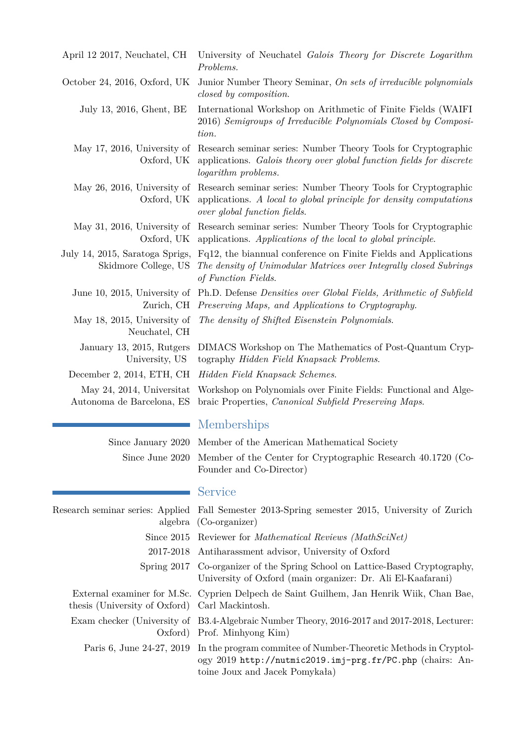| April 12 2017, Neuchatel, CH                            | University of Neuchatel Galois Theory for Discrete Logarithm<br>Problems.                                                                                                                        |
|---------------------------------------------------------|--------------------------------------------------------------------------------------------------------------------------------------------------------------------------------------------------|
| October 24, 2016, Oxford, UK                            | Junior Number Theory Seminar, On sets of irreducible polynomials<br>closed by composition.                                                                                                       |
| July 13, 2016, Ghent, BE                                | International Workshop on Arithmetic of Finite Fields (WAIFI)<br>2016) Semigroups of Irreducible Polynomials Closed by Composi-<br>tion.                                                         |
| May 17, 2016, University of<br>Oxford, UK               | Research seminar series: Number Theory Tools for Cryptographic<br>applications. Galois theory over global function fields for discrete<br><i>logarithm problems.</i>                             |
| Oxford, UK                                              | May 26, 2016, University of Research seminar series: Number Theory Tools for Cryptographic<br>applications. A local to global principle for density computations<br>over global function fields. |
|                                                         | May 31, 2016, University of Research seminar series: Number Theory Tools for Cryptographic<br>Oxford, UK applications. Applications of the local to global principle.                            |
| July 14, 2015, Saratoga Sprigs,<br>Skidmore College, US | Fq12, the biannual conference on Finite Fields and Applications<br>The density of Unimodular Matrices over Integrally closed Subrings<br>of Function Fields.                                     |
| June 10, 2015, University of<br>Zurich, CH              | Ph.D. Defense <i>Densities</i> over <i>Global Fields</i> , <i>Arithmetic</i> of <i>Subfield</i><br>Preserving Maps, and Applications to Cryptography.                                            |
| May 18, 2015, University of<br>Neuchatel, CH            | The density of Shifted Eisenstein Polynomials.                                                                                                                                                   |
| January 13, 2015, Rutgers<br>University, US             | DIMACS Workshop on The Mathematics of Post-Quantum Cryp-<br>tography Hidden Field Knapsack Problems.                                                                                             |
| December 2, 2014, ETH, CH                               | Hidden Field Knapsack Schemes.                                                                                                                                                                   |
| May 24, 2014, Universitat<br>Autonoma de Barcelona, ES  | Workshop on Polynomials over Finite Fields: Functional and Alge-<br>braic Properties, <i>Canonical Subfield Preserving Maps.</i>                                                                 |

|  | Memberships |  |
|--|-------------|--|
|  |             |  |

Service

| Since January 2020 Member of the American Mathematical Society               |
|------------------------------------------------------------------------------|
| Since June 2020 Member of the Center for Cryptographic Research 40.1720 (Co- |
| Founder and Co-Director)                                                     |

| Research seminar series: Applied Fall Semester 2013-Spring semester 2015, University of Zurich |
|------------------------------------------------------------------------------------------------|
| algebra (Co-organizer)                                                                         |
| Since 2015 Reviewer for Mathematical Reviews (MathSciNet)                                      |
| 2017-2018 Antiharassment advisor, University of Oxford                                         |

External examiner for M.Sc. thesis (University of Oxford)

| 2017-2018 Antiharassment advisor, University of Oxford                       |
|------------------------------------------------------------------------------|
| Spring 2017 Co-organizer of the Spring School on Lattice-Based Cryptography, |
| University of Oxford (main organizer: Dr. Ali El-Kaafarani)                  |

| Cyprien Delpech de Saint Guilhem, Jan Henrik Wiik, Chan Bae, |  |  |  |
|--------------------------------------------------------------|--|--|--|
| Carl Mackintosh.                                             |  |  |  |

Exam checker (University of B3.4-Algebraic Number Theory, 2016-2017 and 2017-2018, Lecturer: Oxford) Prof. Minhyong Kim)

Paris 6, June 24-27, 2019 In the program commitee of Number-Theoretic Methods in Cryptology 2019 <http://nutmic2019.imj-prg.fr/PC.php> (chairs: Antoine Joux and Jacek Pomykała)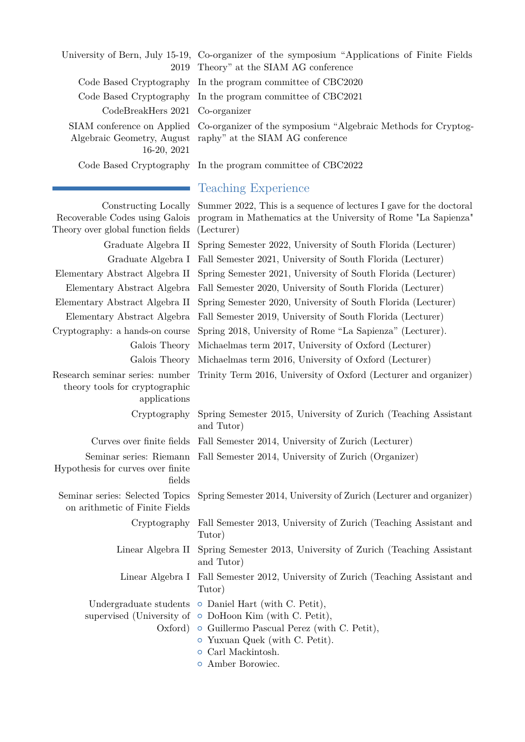University of Bern, July 15-19, Co-organizer of the symposium "Applications of Finite Fields 2019 Theory" at the SIAM AG conference Code Based Cryptography In the program committee of CBC2020 Code Based Cryptography In the program committee of CBC2021 CodeBreakHers 2021 Co-organizer SIAM conference on Applied Co-organizer of the symposium "Algebraic Methods for Cryptog-Algebraic Geometry, August raphy" at the SIAM AG conference 16-20, 2021 Code Based Cryptography In the program committee of CBC2022 Teaching Experience Constructing Locally Summer 2022, This is a sequence of lectures I gave for the doctoral Recoverable Codes using Galois Theory over global function fields program in Mathematics at the University of Rome "La Sapienza" (Lecturer) Graduate Algebra II Spring Semester 2022, University of South Florida (Lecturer) Graduate Algebra I Fall Semester 2021, University of South Florida (Lecturer)

Elementary Abstract Algebra II Spring Semester 2021, University of South Florida (Lecturer) Elementary Abstract Algebra Fall Semester 2020, University of South Florida (Lecturer) Elementary Abstract Algebra II Spring Semester 2020, University of South Florida (Lecturer) Elementary Abstract Algebra Fall Semester 2019, University of South Florida (Lecturer) Cryptography: a hands-on course Spring 2018, University of Rome "La Sapienza" (Lecturer). Galois Theory Michaelmas term 2017, University of Oxford (Lecturer) Galois Theory Michaelmas term 2016, University of Oxford (Lecturer) Research seminar series: number Trinity Term 2016, University of Oxford (Lecturer and organizer)

theory tools for cryptographic applications

Cryptography Spring Semester 2015, University of Zurich (Teaching Assistant

Curves over finite fields Fall Semester 2014, University of Zurich (Lecturer) Seminar series: Riemann Fall Semester 2014, University of Zurich (Organizer) Hypothesis for curves over finite fields

Seminar series: Selected Topics Spring Semester 2014, University of Zurich (Lecturer and organizer) on arithmetic of Finite Fields

Cryptography Fall Semester 2013, University of Zurich (Teaching Assistant and Tutor)

Linear Algebra II Spring Semester 2013, University of Zurich (Teaching Assistant and Tutor)

Linear Algebra I Fall Semester 2012, University of Zurich (Teaching Assistant and Tutor)

Undergraduate students o Daniel Hart (with C. Petit),

and Tutor)

supervised (University of  $\circ$  DoHoon Kim (with C. Petit),

- Oxford) o Guillermo Pascual Perez (with C. Petit),
	- { Yuxuan Quek (with C. Petit).
	- { Carl Mackintosh.
	- **•** Amber Borowiec.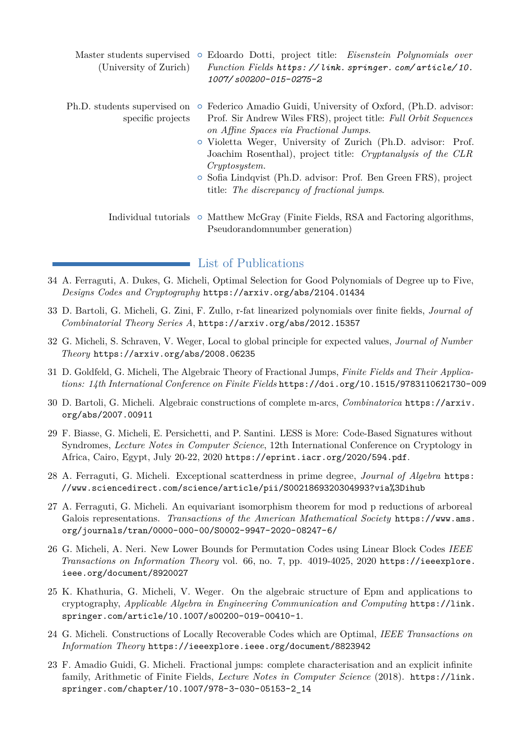| Master students supervised<br>(University of Zurich) | Edoardo Dotti, project title: Eisenstein Polynomials over<br>$\circ$<br>Function Fields https://link.springer.com/article/10.<br>1007/s00200-015-0275-2                                                                                                                                                                                                                                                                                        |
|------------------------------------------------------|------------------------------------------------------------------------------------------------------------------------------------------------------------------------------------------------------------------------------------------------------------------------------------------------------------------------------------------------------------------------------------------------------------------------------------------------|
| Ph.D. students supervised on<br>specific projects    | • Federico Amadio Guidi, University of Oxford, (Ph.D. advisor:<br>Prof. Sir Andrew Wiles FRS), project title: Full Orbit Sequences<br>on Affine Spaces via Fractional Jumps.<br>• Violetta Weger, University of Zurich (Ph.D. advisor: Prof.<br>Joachim Rosenthal), project title: Cryptanalysis of the CLR<br>Cryptosystem.<br>• Sofia Lindqvist (Ph.D. advisor: Prof. Ben Green FRS), project<br>title: The discrepancy of fractional jumps. |
|                                                      | Individual tutorials $\circ$ Matthew McGray (Finite Fields, RSA and Factoring algorithms,                                                                                                                                                                                                                                                                                                                                                      |

Pseudorandomnumber generation)

List of Publications

- 34 A. Ferraguti, A. Dukes, G. Micheli, Optimal Selection for Good Polynomials of Degree up to Five, *Designs Codes and Cryptography* <https://arxiv.org/abs/2104.01434>
- 33 D. Bartoli, G. Micheli, G. Zini, F. Zullo, r-fat linearized polynomials over finite fields, *Journal of Combinatorial Theory Series A*, <https://arxiv.org/abs/2012.15357>
- 32 G. Micheli, S. Schraven, V. Weger, Local to global principle for expected values, *Journal of Number Theory* <https://arxiv.org/abs/2008.06235>
- 31 D. Goldfeld, G. Micheli, The Algebraic Theory of Fractional Jumps, *Finite Fields and Their Applications: 14th International Conference on Finite Fields* <https://doi.org/10.1515/9783110621730-009>
- 30 D. Bartoli, G. Micheli. Algebraic constructions of complete m-arcs, *Combinatorica* [https://arxiv.](https://arxiv.org/abs/2007.00911) [org/abs/2007.00911](https://arxiv.org/abs/2007.00911)
- 29 F. Biasse, G. Micheli, E. Persichetti, and P. Santini. LESS is More: Code-Based Signatures without Syndromes, *Lecture Notes in Computer Science*, 12th International Conference on Cryptology in Africa, Cairo, Egypt, July 20-22, 2020 <https://eprint.iacr.org/2020/594.pdf>.
- 28 A. Ferraguti, G. Micheli. Exceptional scatterdness in prime degree, *Journal of Algebra* [https:](https://www.sciencedirect.com/science/article/pii/S0021869320304993?via%3Dihub) [//www.sciencedirect.com/science/article/pii/S0021869320304993?via%3Dihub](https://www.sciencedirect.com/science/article/pii/S0021869320304993?via%3Dihub)
- 27 A. Ferraguti, G. Micheli. An equivariant isomorphism theorem for mod p reductions of arboreal Galois representations. *Transactions of the American Mathematical Society* [https://www.ams.](https://www.ams.org/journals/tran/0000-000-00/S0002-9947-2020-08247-6/) [org/journals/tran/0000-000-00/S0002-9947-2020-08247-6/](https://www.ams.org/journals/tran/0000-000-00/S0002-9947-2020-08247-6/)
- 26 G. Micheli, A. Neri. New Lower Bounds for Permutation Codes using Linear Block Codes *IEEE Transactions on Information Theory* vol. 66, no. 7, pp. 4019-4025, 2020 [https://ieeexplore.](https://ieeexplore.ieee.org/document/8920027) [ieee.org/document/8920027](https://ieeexplore.ieee.org/document/8920027)
- 25 K. Khathuria, G. Micheli, V. Weger. On the algebraic structure of Epm and applications to cryptography, *Applicable Algebra in Engineering Communication and Computing* [https://link.](https://link.springer.com/article/10.1007/s00200-019-00410-1) [springer.com/article/10.1007/s00200-019-00410-1](https://link.springer.com/article/10.1007/s00200-019-00410-1).
- 24 G. Micheli. Constructions of Locally Recoverable Codes which are Optimal, *IEEE Transactions on Information Theory* <https://ieeexplore.ieee.org/document/8823942>
- 23 F. Amadio Guidi, G. Micheli. Fractional jumps: complete characterisation and an explicit infinite family, Arithmetic of Finite Fields, *Lecture Notes in Computer Science* (2018). [https://link.](https://link.springer.com/chapter/10.1007/978-3-030-05153-2_14) [springer.com/chapter/10.1007/978-3-030-05153-2\\_14](https://link.springer.com/chapter/10.1007/978-3-030-05153-2_14)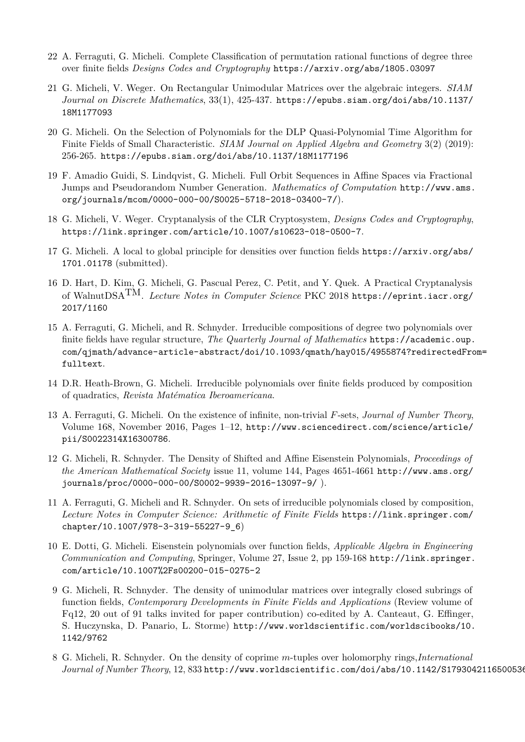- 22 A. Ferraguti, G. Micheli. Complete Classification of permutation rational functions of degree three over finite fields *Designs Codes and Cryptography* <https://arxiv.org/abs/1805.03097>
- 21 G. Micheli, V. Weger. On Rectangular Unimodular Matrices over the algebraic integers. *SIAM Journal on Discrete Mathematics*, 33(1), 425-437. [https://epubs.siam.org/doi/abs/10.1137/](https://epubs.siam.org/doi/abs/10.1137/18M1177093) [18M1177093](https://epubs.siam.org/doi/abs/10.1137/18M1177093)
- 20 G. Micheli. On the Selection of Polynomials for the DLP Quasi-Polynomial Time Algorithm for Finite Fields of Small Characteristic. *SIAM Journal on Applied Algebra and Geometry* 3(2) (2019): 256-265. <https://epubs.siam.org/doi/abs/10.1137/18M1177196>
- 19 F. Amadio Guidi, S. Lindqvist, G. Micheli. Full Orbit Sequences in Affine Spaces via Fractional Jumps and Pseudorandom Number Generation. *Mathematics of Computation* [http://www.ams.](http://www.ams.org/journals/mcom/0000-000-00/S0025-5718-2018-03400-7/) [org/journals/mcom/0000-000-00/S0025-5718-2018-03400-7/](http://www.ams.org/journals/mcom/0000-000-00/S0025-5718-2018-03400-7/)).
- 18 G. Micheli, V. Weger. Cryptanalysis of the CLR Cryptosystem, *Designs Codes and Cryptography*, <https://link.springer.com/article/10.1007/s10623-018-0500-7>.
- 17 G. Micheli. A local to global principle for densities over function fields [https://arxiv.org/abs/](https://arxiv.org/abs/1701.01178) [1701.01178](https://arxiv.org/abs/1701.01178) (submitted).
- 16 D. Hart, D. Kim, G. Micheli, G. Pascual Perez, C. Petit, and Y. Quek. A Practical Cryptanalysis of WalnutDSATM. *Lecture Notes in Computer Science* PKC 2018 [https://eprint.iacr.org/](https://eprint.iacr.org/2017/1160) [2017/1160](https://eprint.iacr.org/2017/1160)
- 15 A. Ferraguti, G. Micheli, and R. Schnyder. Irreducible compositions of degree two polynomials over finite fields have regular structure, *The Quarterly Journal of Mathematics* [https://academic.oup.](https://academic.oup.com/qjmath/advance-article-abstract/doi/10.1093/qmath/hay015/4955874?redirectedFrom=fulltext) [com/qjmath/advance-article-abstract/doi/10.1093/qmath/hay015/4955874?redirectedFro](https://academic.oup.com/qjmath/advance-article-abstract/doi/10.1093/qmath/hay015/4955874?redirectedFrom=fulltext)m= [fulltext](https://academic.oup.com/qjmath/advance-article-abstract/doi/10.1093/qmath/hay015/4955874?redirectedFrom=fulltext).
- 14 D.R. Heath-Brown, G. Micheli. Irreducible polynomials over finite fields produced by composition of quadratics, *Revista Matématica Iberoamericana*.
- 13 A. Ferraguti, G. Micheli. On the existence of infinite, non-trivial *F*-sets, *Journal of Number Theory*, Volume 168, November 2016, Pages 1–12, [http://www.sciencedirect.com/science/article/](http://www.sciencedirect.com/science/article/pii/S0022314X16300786) [pii/S0022314X16300786](http://www.sciencedirect.com/science/article/pii/S0022314X16300786).
- 12 G. Micheli, R. Schnyder. The Density of Shifted and Affine Eisenstein Polynomials, *Proceedings of the American Mathematical Society* issue 11, volume 144, Pages 4651-4661 [http://www.ams.org/](http://www.ams.org/journals/proc/0000-000-00/S0002-9939-2016-13097-9/) [journals/proc/0000-000-00/S0002-9939-2016-13097-9/](http://www.ams.org/journals/proc/0000-000-00/S0002-9939-2016-13097-9/) ).
- 11 A. Ferraguti, G. Micheli and R. Schnyder. On sets of irreducible polynomials closed by composition, *Lecture Notes in Computer Science: Arithmetic of Finite Fields* [https://link.springer.com/](https://link.springer.com/chapter/10.1007/978-3-319-55227-9_6) [chapter/10.1007/978-3-319-55227-9\\_6](https://link.springer.com/chapter/10.1007/978-3-319-55227-9_6))
- 10 E. Dotti, G. Micheli. Eisenstein polynomials over function fields, *Applicable Algebra in Engineering Communication and Computing*, Springer, Volume 27, Issue 2, pp 159-168 [http://link.springer.](http://link.springer.com/article/10.1007%2Fs00200-015-0275-2) [com/article/10.1007%2Fs00200-015-0275-2](http://link.springer.com/article/10.1007%2Fs00200-015-0275-2)
- 9 G. Micheli, R. Schnyder. The density of unimodular matrices over integrally closed subrings of function fields, *Contemporary Developments in Finite Fields and Applications* (Review volume of Fq12, 20 out of 91 talks invited for paper contribution) co-edited by A. Canteaut, G. Effinger, S. Huczynska, D. Panario, L. Storme) [http://www.worldscientific.com/worldscibooks/10.](http://www.worldscientific.com/worldscibooks/10.1142/9762) [1142/9762](http://www.worldscientific.com/worldscibooks/10.1142/9762)
- 8 G. Micheli, R. Schnyder. On the density of coprime *m*-tuples over holomorphy rings,*International Journal of Number Theory*, 12, 833 <http://www.worldscientific.com/doi/abs/10.1142/S1793042116500536>